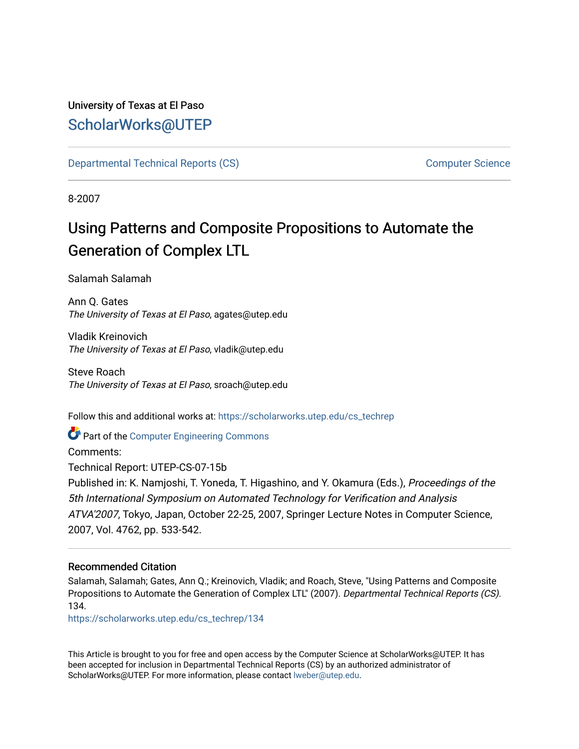# University of Texas at El Paso [ScholarWorks@UTEP](https://scholarworks.utep.edu/)

[Departmental Technical Reports \(CS\)](https://scholarworks.utep.edu/cs_techrep) [Computer Science](https://scholarworks.utep.edu/computer) 

8-2007

# Using Patterns and Composite Propositions to Automate the Generation of Complex LTL

Salamah Salamah

Ann Q. Gates The University of Texas at El Paso, agates@utep.edu

Vladik Kreinovich The University of Texas at El Paso, vladik@utep.edu

Steve Roach The University of Texas at El Paso, sroach@utep.edu

Follow this and additional works at: [https://scholarworks.utep.edu/cs\\_techrep](https://scholarworks.utep.edu/cs_techrep?utm_source=scholarworks.utep.edu%2Fcs_techrep%2F134&utm_medium=PDF&utm_campaign=PDFCoverPages) 

Part of the [Computer Engineering Commons](http://network.bepress.com/hgg/discipline/258?utm_source=scholarworks.utep.edu%2Fcs_techrep%2F134&utm_medium=PDF&utm_campaign=PDFCoverPages) 

Comments: Technical Report: UTEP-CS-07-15b Published in: K. Namjoshi, T. Yoneda, T. Higashino, and Y. Okamura (Eds.), Proceedings of the 5th International Symposium on Automated Technology for Verification and Analysis ATVA'2007, Tokyo, Japan, October 22-25, 2007, Springer Lecture Notes in Computer Science, 2007, Vol. 4762, pp. 533-542.

## Recommended Citation

Salamah, Salamah; Gates, Ann Q.; Kreinovich, Vladik; and Roach, Steve, "Using Patterns and Composite Propositions to Automate the Generation of Complex LTL" (2007). Departmental Technical Reports (CS). 134.

[https://scholarworks.utep.edu/cs\\_techrep/134](https://scholarworks.utep.edu/cs_techrep/134?utm_source=scholarworks.utep.edu%2Fcs_techrep%2F134&utm_medium=PDF&utm_campaign=PDFCoverPages)

This Article is brought to you for free and open access by the Computer Science at ScholarWorks@UTEP. It has been accepted for inclusion in Departmental Technical Reports (CS) by an authorized administrator of ScholarWorks@UTEP. For more information, please contact [lweber@utep.edu](mailto:lweber@utep.edu).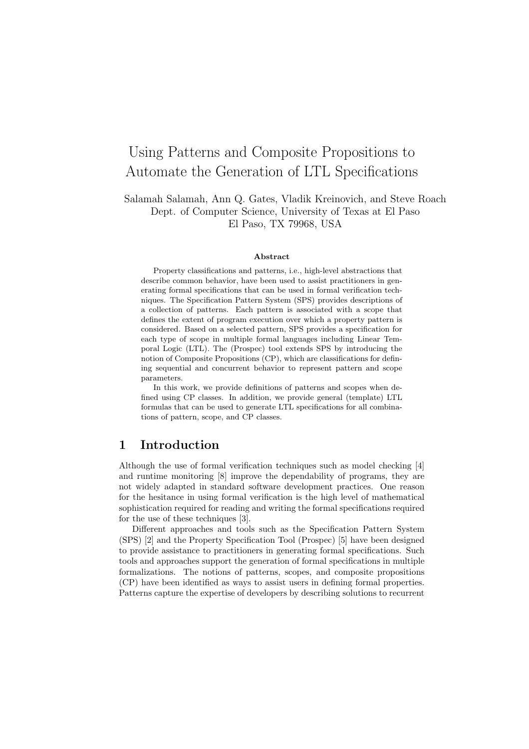# Using Patterns and Composite Propositions to Automate the Generation of LTL Specifications

Salamah Salamah, Ann Q. Gates, Vladik Kreinovich, and Steve Roach Dept. of Computer Science, University of Texas at El Paso El Paso, TX 79968, USA

#### Abstract

Property classifications and patterns, i.e., high-level abstractions that describe common behavior, have been used to assist practitioners in generating formal specifications that can be used in formal verification techniques. The Specification Pattern System (SPS) provides descriptions of a collection of patterns. Each pattern is associated with a scope that defines the extent of program execution over which a property pattern is considered. Based on a selected pattern, SPS provides a specification for each type of scope in multiple formal languages including Linear Temporal Logic (LTL). The (Prospec) tool extends SPS by introducing the notion of Composite Propositions (CP), which are classifications for defining sequential and concurrent behavior to represent pattern and scope parameters.

In this work, we provide definitions of patterns and scopes when defined using CP classes. In addition, we provide general (template) LTL formulas that can be used to generate LTL specifications for all combinations of pattern, scope, and CP classes.

## 1 Introduction

Although the use of formal verification techniques such as model checking [4] and runtime monitoring [8] improve the dependability of programs, they are not widely adapted in standard software development practices. One reason for the hesitance in using formal verification is the high level of mathematical sophistication required for reading and writing the formal specifications required for the use of these techniques [3].

Different approaches and tools such as the Specification Pattern System (SPS) [2] and the Property Specification Tool (Prospec) [5] have been designed to provide assistance to practitioners in generating formal specifications. Such tools and approaches support the generation of formal specifications in multiple formalizations. The notions of patterns, scopes, and composite propositions (CP) have been identified as ways to assist users in defining formal properties. Patterns capture the expertise of developers by describing solutions to recurrent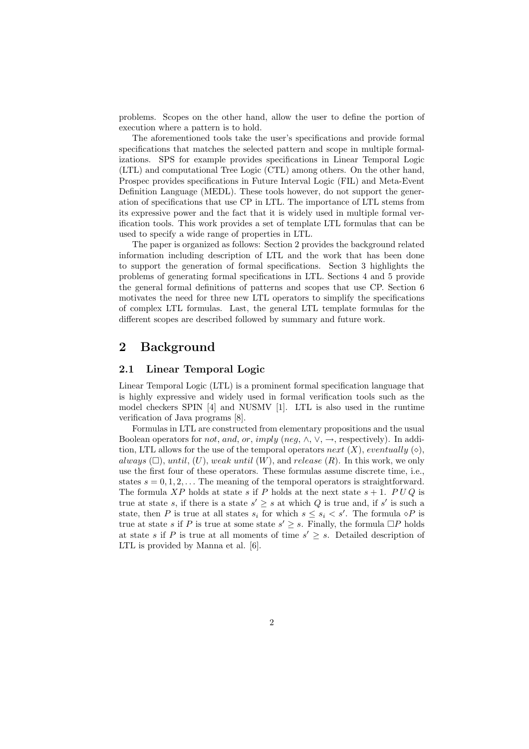problems. Scopes on the other hand, allow the user to define the portion of execution where a pattern is to hold.

The aforementioned tools take the user's specifications and provide formal specifications that matches the selected pattern and scope in multiple formalizations. SPS for example provides specifications in Linear Temporal Logic (LTL) and computational Tree Logic (CTL) among others. On the other hand, Prospec provides specifications in Future Interval Logic (FIL) and Meta-Event Definition Language (MEDL). These tools however, do not support the generation of specifications that use CP in LTL. The importance of LTL stems from its expressive power and the fact that it is widely used in multiple formal verification tools. This work provides a set of template LTL formulas that can be used to specify a wide range of properties in LTL.

The paper is organized as follows: Section 2 provides the background related information including description of LTL and the work that has been done to support the generation of formal specifications. Section 3 highlights the problems of generating formal specifications in LTL. Sections 4 and 5 provide the general formal definitions of patterns and scopes that use CP. Section 6 motivates the need for three new LTL operators to simplify the specifications of complex LTL formulas. Last, the general LTL template formulas for the different scopes are described followed by summary and future work.

## 2 Background

#### 2.1 Linear Temporal Logic

Linear Temporal Logic (LTL) is a prominent formal specification language that is highly expressive and widely used in formal verification tools such as the model checkers SPIN [4] and NUSMV [1]. LTL is also used in the runtime verification of Java programs [8].

Formulas in LTL are constructed from elementary propositions and the usual Boolean operators for *not*, and, or, imply (neg,  $\wedge$ ,  $\vee$ ,  $\rightarrow$ , respectively). In addition, LTL allows for the use of the temporal operators next  $(X)$ , eventually  $(\diamond)$ , always  $(\Box)$ , until,  $(U)$ , weak until  $(W)$ , and release  $(R)$ . In this work, we only use the first four of these operators. These formulas assume discrete time, i.e., states  $s = 0, 1, 2, \ldots$  The meaning of the temporal operators is straightforward. The formula XP holds at state s if P holds at the next state  $s + 1$ . PUQ is true at state s, if there is a state  $s' \geq s$  at which Q is true and, if s' is such a state, then P is true at all states  $s_i$  for which  $s \leq s_i < s'$ . The formula  $\circ P$  is true at state s if P is true at some state  $s' \geq s$ . Finally, the formula  $\Box P$  holds at state s if P is true at all moments of time  $s' \geq s$ . Detailed description of LTL is provided by Manna et al. [6].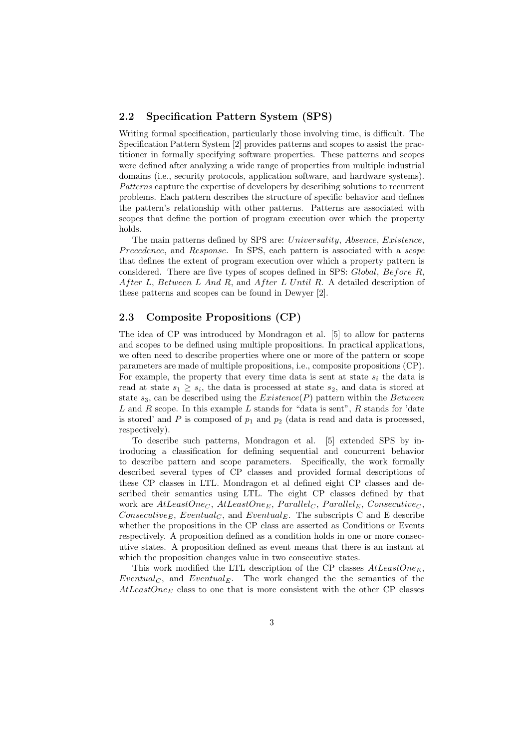#### 2.2 Specification Pattern System (SPS)

Writing formal specification, particularly those involving time, is difficult. The Specification Pattern System [2] provides patterns and scopes to assist the practitioner in formally specifying software properties. These patterns and scopes were defined after analyzing a wide range of properties from multiple industrial domains (i.e., security protocols, application software, and hardware systems). Patterns capture the expertise of developers by describing solutions to recurrent problems. Each pattern describes the structure of specific behavior and defines the pattern's relationship with other patterns. Patterns are associated with scopes that define the portion of program execution over which the property holds.

The main patterns defined by SPS are: Universality, Absence, Existence, Precedence, and Response. In SPS, each pattern is associated with a scope that defines the extent of program execution over which a property pattern is considered. There are five types of scopes defined in SPS: Global, Before R, After L, Between L And R, and After L Until R. A detailed description of these patterns and scopes can be found in Dewyer [2].

#### 2.3 Composite Propositions (CP)

The idea of CP was introduced by Mondragon et al. [5] to allow for patterns and scopes to be defined using multiple propositions. In practical applications, we often need to describe properties where one or more of the pattern or scope parameters are made of multiple propositions, i.e., composite propositions (CP). For example, the property that every time data is sent at state  $s_i$  the data is read at state  $s_1 \geq s_i$ , the data is processed at state  $s_2$ , and data is stored at state  $s_3$ , can be described using the  $Existence(P)$  pattern within the Between  $L$  and  $R$  scope. In this example  $L$  stands for "data is sent",  $R$  stands for 'date is stored' and  $P$  is composed of  $p_1$  and  $p_2$  (data is read and data is processed, respectively).

To describe such patterns, Mondragon et al. [5] extended SPS by introducing a classification for defining sequential and concurrent behavior to describe pattern and scope parameters. Specifically, the work formally described several types of CP classes and provided formal descriptions of these CP classes in LTL. Mondragon et al defined eight CP classes and described their semantics using LTL. The eight CP classes defined by that work are  $AtLeastOne_C$ ,  $AtLeastOne_E$ ,  $Parallel_C$ ,  $Parallel_E$ ,  $Consider_C$ , Consecutive<sub>E</sub>, Eventual<sub>C</sub>, and Eventual<sub>E</sub>. The subscripts C and E describe whether the propositions in the CP class are asserted as Conditions or Events respectively. A proposition defined as a condition holds in one or more consecutive states. A proposition defined as event means that there is an instant at which the proposition changes value in two consecutive states.

This work modified the LTL description of the CP classes  $AtLeastOne_E$ , Eventual<sub>C</sub>, and Eventual<sub>E</sub>. The work changed the the semantics of the  $AtLeastOne<sub>E</sub>$  class to one that is more consistent with the other CP classes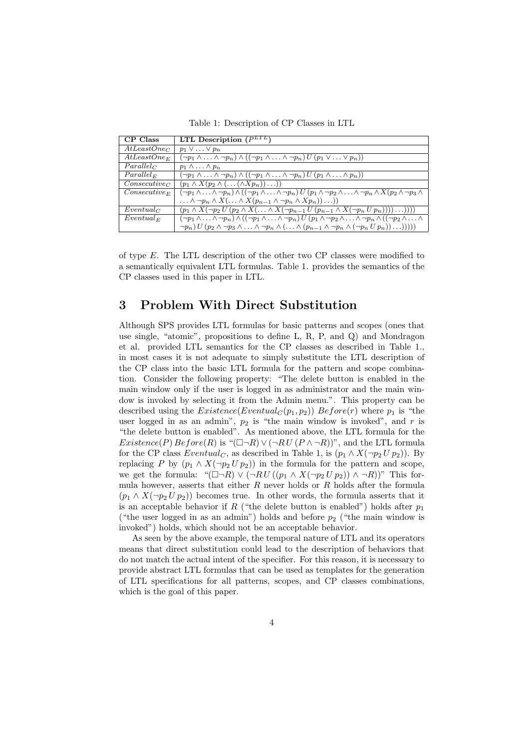Table 1: Description of CP Classes in LTL

| CP Class                 | LTL Description $(P^{LTL})$                                                                                                                                                         |
|--------------------------|-------------------------------------------------------------------------------------------------------------------------------------------------------------------------------------|
| AtLeastOne <sub>C</sub>  | $p_1 \vee \ldots \vee p_n$                                                                                                                                                          |
| $AtLeastOne_E$           | $(\neg p_1 \land \ldots \land \neg p_n) \land ((\neg p_1 \land \ldots \land \neg p_n) U (p_1 \lor \ldots \lor p_n))$                                                                |
| $Parallel_C$             | $p_1 \wedge \ldots \wedge p_n$                                                                                                                                                      |
| $Parallel_{E}$           | $(\neg p_1 \land \ldots \land \neg p_n) \land ((\neg p_1 \land \ldots \land \neg p_n) U (p_1 \land \ldots \land p_n))$                                                              |
| Consecutive <sub>C</sub> | $(p_1 \wedge X(p_2 \wedge (\ldots (\wedge Xp_n)) \ldots))$                                                                                                                          |
| $Consecutive_E$          | $(\neg p_1 \wedge \ldots \wedge \neg p_n) \wedge ((\neg p_1 \wedge \ldots \wedge \neg p_n) U(p_1 \wedge \neg p_2 \wedge \ldots \wedge \neg p_n \wedge X(p_2 \wedge \neg p_3 \wedge$ |
|                          | $\ldots \wedge \neg p_n \wedge X(\ldots \wedge X(p_{n-1} \wedge \neg p_n \wedge Xp_n))\ldots))$                                                                                     |
| $Eventual_C$             | $(p_1 \wedge X(\neg p_2 U(p_2 \wedge X(\ldots \wedge X(\neg p_{n-1} U(p_{n-1} \wedge X(\neg p_n U p_n))))\ldots))))$                                                                |
| $Eventual_F$             | $(\neg p_1 \land \ldots \land \neg p_n) \land ((\neg p_1 \land \ldots \land \neg p_n) U (p_1 \land \neg p_2 \land \ldots \land \neg p_n \land ((\neg p_2 \land \ldots \land$        |
|                          | $\neg p_n) U (p_2 \wedge \neg p_3 \wedge \ldots \wedge \neg p_n \wedge (\ldots \wedge (p_{n-1} \wedge \neg p_n \wedge (\neg p_n U p_n)) \ldots))))$                                 |

of type  $E$ . The LTL description of the other two CP classes were modified to a semantically equivalent LTL formulas. Table 1. provides the semantics of the CP classes used in this paper in LTL.

## 3 Problem With Direct Substitution

Although SPS provides LTL formulas for basic patterns and scopes (ones that use single, "atomic", propositions to define L, R, P, and Q) and Mondragon et al. provided LTL semantics for the CP classes as described in Table 1., in most cases it is not adequate to simply substitute the LTL description of the CP class into the basic LTL formula for the pattern and scope combination. Consider the following property: "The delete button is enabled in the main window only if the user is logged in as administrator and the main window is invoked by selecting it from the Admin menu.". This property can be described using the  $Existence(Eventual_C (p_1, p_2))$   $Before(r)$  where  $p_1$  is "the user logged in as an admin",  $p_2$  is "the main window is invoked", and r is "the delete button is enabled". As mentioned above, the LTL formula for the  $Existence(P) Before(R)$  is " $(\Box \neg R) \vee (\neg R U (P \wedge \neg R))$ ", and the LTL formula for the CP class  $Eventual_C$ , as described in Table 1, is  $(p_1 \wedge X(\neg p_2 U p_2))$ . By replacing P by  $(p_1 \wedge X(\neg p_2 U p_2))$  in the formula for the pattern and scope, we get the formula: " $(\Box \neg R) \vee (\neg R U ((p_1 \wedge X (\neg p_2 U p_2)) \wedge \neg R))$ " This formula however, asserts that either  $R$  never holds or  $R$  holds after the formula  $(p_1 \wedge X(\neg p_2 U p_2))$  becomes true. In other words, the formula asserts that it is an acceptable behavior if R ("the delete button is enabled") holds after  $p_1$ ("the user logged in as an admin") holds and before  $p_2$  ("the main window is invoked") holds, which should not be an acceptable behavior.

As seen by the above example, the temporal nature of LTL and its operators means that direct substitution could lead to the description of behaviors that do not match the actual intent of the specifier. For this reason, it is necessary to provide abstract LTL formulas that can be used as templates for the generation of LTL specifications for all patterns, scopes, and CP classes combinations, which is the goal of this paper.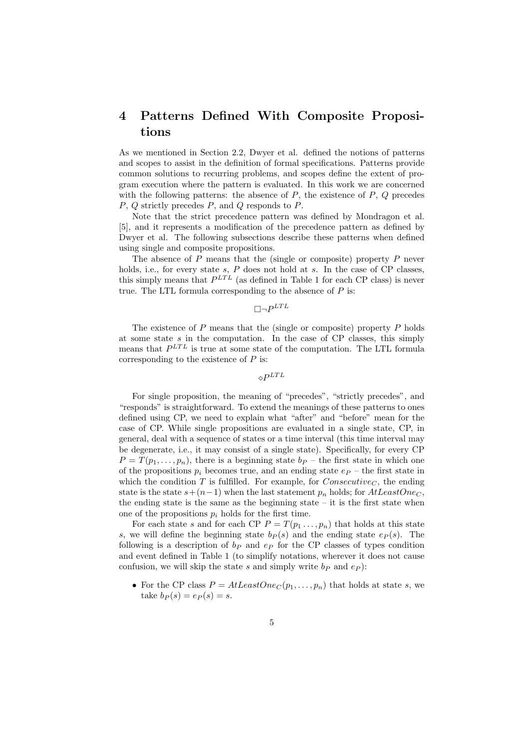# 4 Patterns Defined With Composite Propositions

As we mentioned in Section 2.2, Dwyer et al. defined the notions of patterns and scopes to assist in the definition of formal specifications. Patterns provide common solutions to recurring problems, and scopes define the extent of program execution where the pattern is evaluated. In this work we are concerned with the following patterns: the absence of  $P$ , the existence of  $P$ ,  $Q$  precedes P, Q strictly precedes P, and Q responds to P.

Note that the strict precedence pattern was defined by Mondragon et al. [5], and it represents a modification of the precedence pattern as defined by Dwyer et al. The following subsections describe these patterns when defined using single and composite propositions.

The absence of  $P$  means that the (single or composite) property  $P$  never holds, i.e., for every state s,  $P$  does not hold at s. In the case of CP classes, this simply means that  $P^{LTL}$  (as defined in Table 1 for each CP class) is never true. The LTL formula corresponding to the absence of  $P$  is:

 $\Box\neg P^{LTL}$ 

The existence of  $P$  means that the (single or composite) property  $P$  holds at some state  $s$  in the computation. In the case of CP classes, this simply means that  $P^{LTL}$  is true at some state of the computation. The LTL formula corresponding to the existence of  $P$  is:

 $\diamond P^{LTL}$ 

For single proposition, the meaning of "precedes", "strictly precedes", and "responds" is straightforward. To extend the meanings of these patterns to ones defined using CP, we need to explain what "after" and "before" mean for the case of CP. While single propositions are evaluated in a single state, CP, in general, deal with a sequence of states or a time interval (this time interval may be degenerate, i.e., it may consist of a single state). Specifically, for every CP  $P = T(p_1, \ldots, p_n)$ , there is a beginning state  $b_P$  – the first state in which one of the propositions  $p_i$  becomes true, and an ending state  $e_P$  – the first state in which the condition T is fulfilled. For example, for  $Consecutive<sub>C</sub>$ , the ending state is the state  $s+(n-1)$  when the last statement  $p_n$  holds; for  $AtLeastOne<sub>C</sub>$ , the ending state is the same as the beginning state  $-$  it is the first state when one of the propositions  $p_i$  holds for the first time.

For each state s and for each CP  $P = T(p_1 \ldots, p_n)$  that holds at this state s, we will define the beginning state  $b_P(s)$  and the ending state  $e_P(s)$ . The following is a description of  $b<sub>P</sub>$  and  $e<sub>P</sub>$  for the CP classes of types condition and event defined in Table 1 (to simplify notations, wherever it does not cause confusion, we will skip the state s and simply write  $b_P$  and  $e_P$ ):

• For the CP class  $P = AtLeastOne_C(p_1, \ldots, p_n)$  that holds at state s, we take  $b_P(s) = e_P(s) = s$ .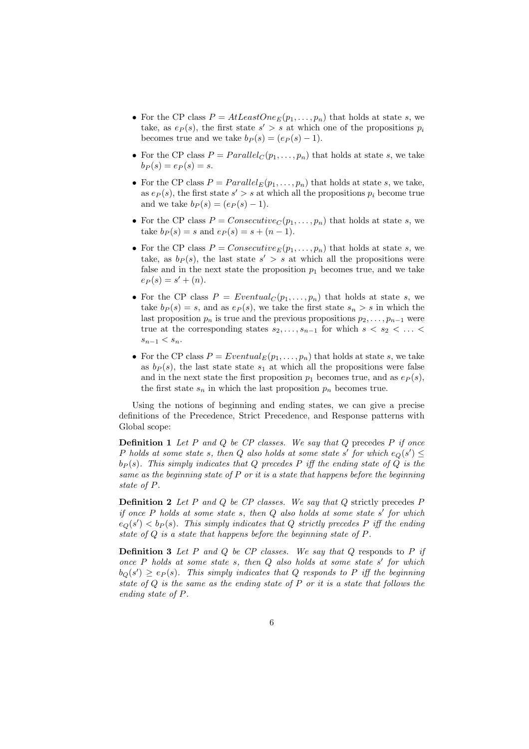- For the CP class  $P = AtLeastOne_E(p_1, \ldots, p_n)$  that holds at state s, we take, as  $e_P(s)$ , the first state  $s' > s$  at which one of the propositions  $p_i$ becomes true and we take  $b_P(s) = (e_P(s) - 1)$ .
- For the CP class  $P = Parallel_C(p_1, \ldots, p_n)$  that holds at state s, we take  $b_P(s) = e_P(s) = s.$
- For the CP class  $P = Parallel_E(p_1, \ldots, p_n)$  that holds at state s, we take, as  $e_P(s)$ , the first state  $s' > s$  at which all the propositions  $p_i$  become true and we take  $b_P(s) = (e_P(s) - 1)$ .
- For the CP class  $P = Consecutive_C(p_1, \ldots, p_n)$  that holds at state s, we take  $b_P(s) = s$  and  $e_P(s) = s + (n - 1)$ .
- For the CP class  $P = \text{Consecutive}_E(p_1, \ldots, p_n)$  that holds at state s, we take, as  $b_P(s)$ , the last state  $s' > s$  at which all the propositions were false and in the next state the proposition  $p_1$  becomes true, and we take  $e_P(s) = s' + (n).$
- For the CP class  $P = Eventually(p_1, \ldots, p_n)$  that holds at state s, we take  $b_P(s) = s$ , and as  $e_P(s)$ , we take the first state  $s_n > s$  in which the last proposition  $p_n$  is true and the previous propositions  $p_2, \ldots, p_{n-1}$  were true at the corresponding states  $s_2, \ldots, s_{n-1}$  for which  $s \lt s_2 \lt \ldots \lt$  $s_{n-1} < s_n$ .
- For the CP class  $P = Eventual_E(p_1, \ldots, p_n)$  that holds at state s, we take as  $b_P(s)$ , the last state state  $s_1$  at which all the propositions were false and in the next state the first proposition  $p_1$  becomes true, and as  $e_P(s)$ , the first state  $s_n$  in which the last proposition  $p_n$  becomes true.

Using the notions of beginning and ending states, we can give a precise definitions of the Precedence, Strict Precedence, and Response patterns with Global scope:

**Definition 1** Let P and Q be  $CP$  classes. We say that Q precedes P if once P holds at some state s, then Q also holds at some state s' for which  $e_Q(s') \leq$  $b_P(s)$ . This simply indicates that Q precedes P iff the ending state of Q is the same as the beginning state of  $P$  or it is a state that happens before the beginning state of P.

**Definition 2** Let P and Q be CP classes. We say that Q strictly precedes P if once  $P$  holds at some state  $s$ , then  $Q$  also holds at some state  $s'$  for which  $e_Q(s') < b_P(s)$ . This simply indicates that Q strictly precedes P iff the ending state of Q is a state that happens before the beginning state of P.

**Definition 3** Let P and Q be CP classes. We say that Q responds to P if once  $P$  holds at some state  $s$ , then  $Q$  also holds at some state  $s'$  for which  $b_Q(s') \geq e_P(s)$ . This simply indicates that Q responds to P iff the beginning state of  $Q$  is the same as the ending state of  $P$  or it is a state that follows the ending state of P.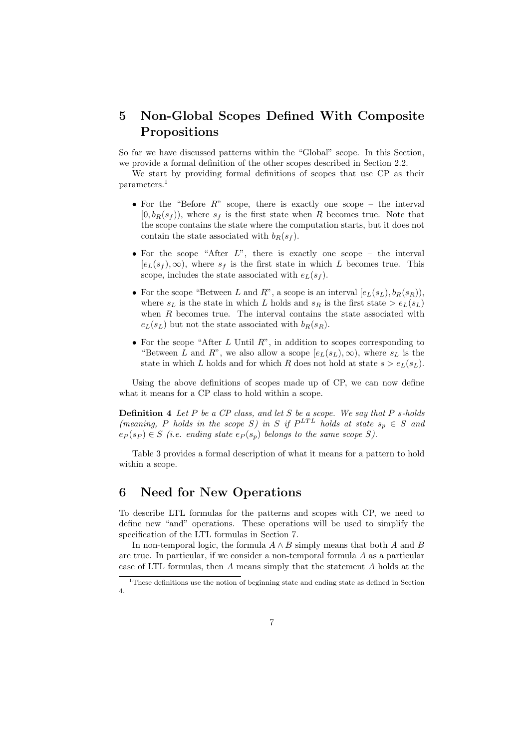# 5 Non-Global Scopes Defined With Composite Propositions

So far we have discussed patterns within the "Global" scope. In this Section, we provide a formal definition of the other scopes described in Section 2.2.

We start by providing formal definitions of scopes that use CP as their parameters.<sup>1</sup>

- For the "Before  $R$ " scope, there is exactly one scope the interval  $[0, b_R(s_f))$ , where  $s_f$  is the first state when R becomes true. Note that the scope contains the state where the computation starts, but it does not contain the state associated with  $b_R(s_f)$ .
- For the scope "After  $L$ ", there is exactly one scope the interval  $[e_L(s_f),\infty)$ , where  $s_f$  is the first state in which L becomes true. This scope, includes the state associated with  $e_L(s_f)$ .
- For the scope "Between L and R", a scope is an interval  $[e_L(s_L), b_R(s_R)]$ , where  $s_L$  is the state in which L holds and  $s_R$  is the first state  $> e_L(s_L)$ when  $R$  becomes true. The interval contains the state associated with  $e_L(s_L)$  but not the state associated with  $b_R(s_R)$ .
- For the scope "After L Until  $R$ ", in addition to scopes corresponding to "Between L and R", we also allow a scope  $[e_L(s_L), \infty)$ , where  $s_L$  is the state in which L holds and for which R does not hold at state  $s > e_L(s_L)$ .

Using the above definitions of scopes made up of CP, we can now define what it means for a CP class to hold within a scope.

**Definition 4** Let  $P$  be a  $CP$  class, and let  $S$  be a scope. We say that  $P$  s-holds (meaning, P holds in the scope S) in S if  $P^{LTL}$  holds at state  $s_p \in S$  and  $e_P(s_P) \in S$  (i.e. ending state  $e_P(s_p)$  belongs to the same scope S).

Table 3 provides a formal description of what it means for a pattern to hold within a scope.

## 6 Need for New Operations

To describe LTL formulas for the patterns and scopes with CP, we need to define new "and" operations. These operations will be used to simplify the specification of the LTL formulas in Section 7.

In non-temporal logic, the formula  $A \wedge B$  simply means that both A and B are true. In particular, if we consider a non-temporal formula A as a particular case of LTL formulas, then A means simply that the statement A holds at the

<sup>1</sup>These definitions use the notion of beginning state and ending state as defined in Section 4.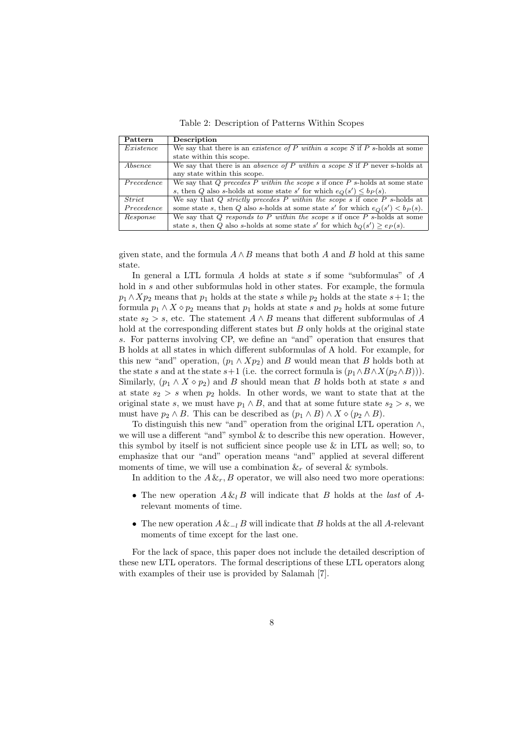Table 2: Description of Patterns Within Scopes

| Pattern    | Description                                                                        |
|------------|------------------------------------------------------------------------------------|
| Existence  | We say that there is an existence of P within a scope S if P s-holds at some       |
|            | state within this scope.                                                           |
| Absence    | We say that there is an <i>absence of P within a scope S</i> if P never s-holds at |
|            | any state within this scope.                                                       |
| Precedence | We say that Q precedes P within the scope s if once $P$ s-holds at some state      |
|            | s, then Q also s-holds at some state s' for which $e_Q(s') \leq b_P(s)$ .          |
| Strict     | We say that Q strictly precedes P within the scope s if once P s-holds at          |
| Precedence | some state s, then Q also s-holds at some state s' for which $e_O(s') < b_P(s)$ .  |
| Response   | We say that $Q$ responds to P within the scope s if once P s-holds at some         |
|            | state s, then Q also s-holds at some state s' for which $b_O(s') \geq e_P(s)$ .    |

given state, and the formula  $A \wedge B$  means that both A and B hold at this same state.

In general a LTL formula  $A$  holds at state  $s$  if some "subformulas" of  $A$ hold in s and other subformulas hold in other states. For example, the formula  $p_1 \wedge Xp_2$  means that  $p_1$  holds at the state s while  $p_2$  holds at the state s+1; the formula  $p_1 \wedge X \diamond p_2$  means that  $p_1$  holds at state s and  $p_2$  holds at some future state  $s_2 > s$ , etc. The statement  $A \wedge B$  means that different subformulas of A hold at the corresponding different states but B only holds at the original state s. For patterns involving CP, we define an "and" operation that ensures that B holds at all states in which different subformulas of A hold. For example, for this new "and" operation,  $(p_1 \wedge Xp_2)$  and B would mean that B holds both at the state s and at the state s+1 (i.e. the correct formula is  $(p_1 \wedge B \wedge X(p_2 \wedge B))$ ). Similarly,  $(p_1 \wedge X \diamond p_2)$  and B should mean that B holds both at state s and at state  $s_2 > s$  when  $p_2$  holds. In other words, we want to state that at the original state s, we must have  $p_1 \wedge B$ , and that at some future state  $s_2 > s$ , we must have  $p_2 \wedge B$ . This can be described as  $(p_1 \wedge B) \wedge X \diamond (p_2 \wedge B)$ .

To distinguish this new "and" operation from the original LTL operation ∧, we will use a different "and" symbol & to describe this new operation. However, this symbol by itself is not sufficient since people use & in LTL as well; so, to emphasize that our "and" operation means "and" applied at several different moments of time, we will use a combination  $\&_r$  of several  $\&$  symbols.

In addition to the  $A \&_{r}$ , B operator, we will also need two more operations:

- The new operation  $A \& B$  will indicate that B holds at the *last* of Arelevant moments of time.
- The new operation  $A \&_{-l} B$  will indicate that B holds at the all A-relevant moments of time except for the last one.

For the lack of space, this paper does not include the detailed description of these new LTL operators. The formal descriptions of these LTL operators along with examples of their use is provided by Salamah [7].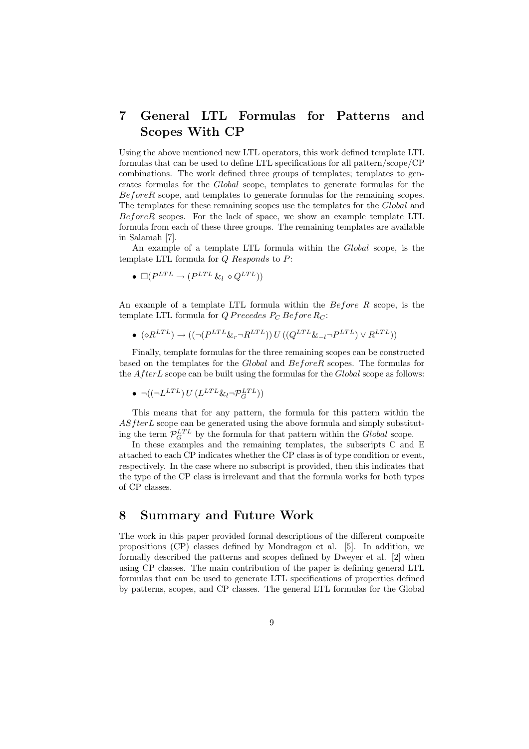# 7 General LTL Formulas for Patterns and Scopes With CP

Using the above mentioned new LTL operators, this work defined template LTL formulas that can be used to define LTL specifications for all pattern/scope/CP combinations. The work defined three groups of templates; templates to generates formulas for the Global scope, templates to generate formulas for the BeforeR scope, and templates to generate formulas for the remaining scopes. The templates for these remaining scopes use the templates for the Global and BeforeR scopes. For the lack of space, we show an example template LTL formula from each of these three groups. The remaining templates are available in Salamah [7].

An example of a template LTL formula within the Global scope, is the template LTL formula for  $Q$  Responds to  $P$ :

$$
\bullet \ \Box (P^{LTL} \rightarrow (P^{LTL} \& \circ Q^{LTL}))
$$

An example of a template LTL formula within the Before R scope, is the template LTL formula for  $Q$  P recedes  $P_C$  Before  $R_C$ :

 $\bullet$   $(\diamond R^{LTL}) \rightarrow ((\neg (P^{LTL} \& \neg R^{LTL})) U ((Q^{LTL} \& \neg P^{LTL}) \vee R^{LTL}))$ 

Finally, template formulas for the three remaining scopes can be constructed based on the templates for the Global and BeforeR scopes. The formulas for the  $After L$  scope can be built using the formulas for the  $Global$  scope as follows:

$$
\bullet \ \neg((\neg L^{LTL}) \, U \, (L^{LTL} \& \, {}_l \neg \mathcal{P}_G^{LTL}))
$$

This means that for any pattern, the formula for this pattern within the  $ASfter L$  scope can be generated using the above formula and simply substituting the term  $\mathcal{P}_G^{LTL}$  by the formula for that pattern within the *Global* scope.

In these examples and the remaining templates, the subscripts C and E attached to each CP indicates whether the CP class is of type condition or event, respectively. In the case where no subscript is provided, then this indicates that the type of the CP class is irrelevant and that the formula works for both types of CP classes.

## 8 Summary and Future Work

The work in this paper provided formal descriptions of the different composite propositions (CP) classes defined by Mondragon et al. [5]. In addition, we formally described the patterns and scopes defined by Dweyer et al. [2] when using CP classes. The main contribution of the paper is defining general LTL formulas that can be used to generate LTL specifications of properties defined by patterns, scopes, and CP classes. The general LTL formulas for the Global